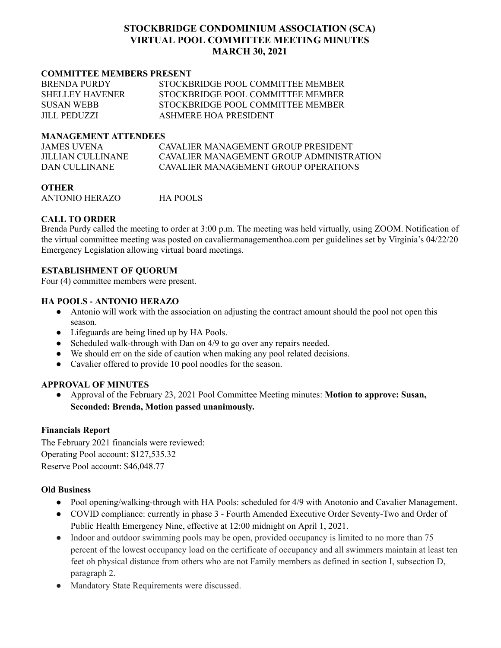## **STOCKBRIDGE CONDOMINIUM ASSOCIATION (SCA) VIRTUAL POOL COMMITTEE MEETING MINUTES MARCH 30, 2021**

#### **COMMITTEE MEMBERS PRESENT**

| <b>BRENDA PURDY</b>    | STOCKBRIDGE POOL COMMITTEE MEMBER |
|------------------------|-----------------------------------|
| <b>SHELLEY HAVENER</b> | STOCKBRIDGE POOL COMMITTEE MEMBER |
| <b>SUSAN WEBB</b>      | STOCKBRIDGE POOL COMMITTEE MEMBER |
| <b>JILL PEDUZZI</b>    | ASHMERE HOA PRESIDENT             |

#### **MANAGEMENT ATTENDEES**

| JAMES UVENA       | CAVALIER MANAGEMENT GROUP PRESIDENT      |
|-------------------|------------------------------------------|
| JILLIAN CULLINANE | CAVALIER MANAGEMENT GROUP ADMINISTRATION |
| DAN CULLINANE     | CAVALIER MANAGEMENT GROUP OPER ATIONS    |

**OTHER** ANTONIO HERAZO HA POOLS

### **CALL TO ORDER**

Brenda Purdy called the meeting to order at 3:00 p.m. The meeting was held virtually, using ZOOM. Notification of the virtual committee meeting was posted on cavaliermanagementhoa.com per guidelines set by Virginia's 04/22/20 Emergency Legislation allowing virtual board meetings.

### **ESTABLISHMENT OF QUORUM**

Four (4) committee members were present.

### **HA POOLS - ANTONIO HERAZO**

- Antonio will work with the association on adjusting the contract amount should the pool not open this season.
- Lifeguards are being lined up by HA Pools.
- Scheduled walk-through with Dan on 4/9 to go over any repairs needed.
- We should err on the side of caution when making any pool related decisions.
- Cavalier offered to provide 10 pool noodles for the season.

### **APPROVAL OF MINUTES**

● Approval of the February 23, 2021 Pool Committee Meeting minutes: **Motion to approve: Susan, Seconded: Brenda, Motion passed unanimously.**

### **Financials Report**

The February 2021 financials were reviewed: Operating Pool account: \$127,535.32 Reserve Pool account: \$46,048.77

### **Old Business**

- Pool opening/walking-through with HA Pools: scheduled for 4/9 with Anotonio and Cavalier Management.
- COVID compliance: currently in phase 3 Fourth Amended Executive Order Seventy-Two and Order of Public Health Emergency Nine, effective at 12:00 midnight on April 1, 2021.
- Indoor and outdoor swimming pools may be open, provided occupancy is limited to no more than 75 percent of the lowest occupancy load on the certificate of occupancy and all swimmers maintain at least ten feet oh physical distance from others who are not Family members as defined in section I, subsection D, paragraph 2.
- Mandatory State Requirements were discussed.